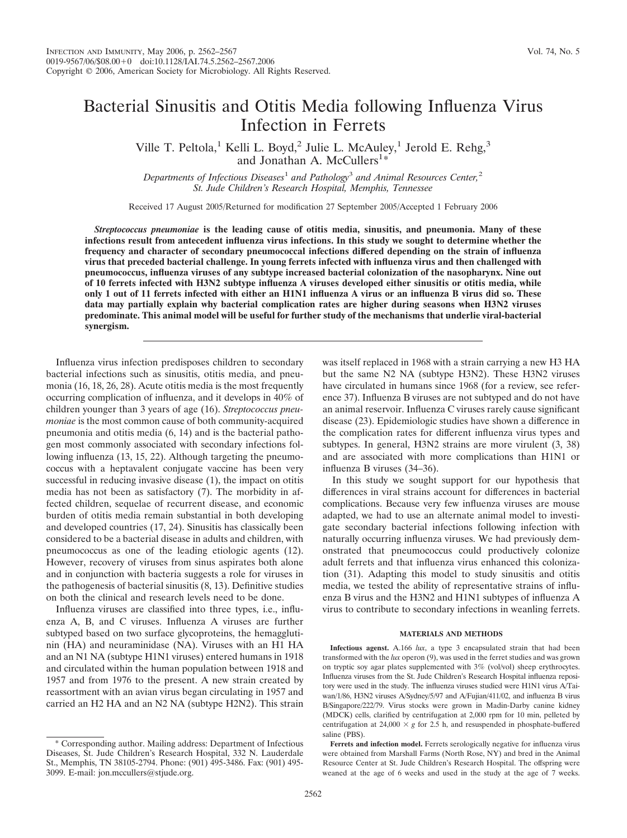Ville T. Peltola,<sup>1</sup> Kelli L. Boyd,<sup>2</sup> Julie L. McAuley,<sup>1</sup> Jerold E. Rehg,<sup>3</sup> and Jonathan A. McCullers<sup>1</sup>\*

*Departments of Infectious Diseases*<sup>1</sup> *and Pathology*<sup>3</sup> *and Animal Resources Center,*<sup>2</sup> *St. Jude Children's Research Hospital, Memphis, Tennessee*

Received 17 August 2005/Returned for modification 27 September 2005/Accepted 1 February 2006

*Streptococcus pneumoniae* **is the leading cause of otitis media, sinusitis, and pneumonia. Many of these infections result from antecedent influenza virus infections. In this study we sought to determine whether the frequency and character of secondary pneumococcal infections differed depending on the strain of influenza virus that preceded bacterial challenge. In young ferrets infected with influenza virus and then challenged with pneumococcus, influenza viruses of any subtype increased bacterial colonization of the nasopharynx. Nine out of 10 ferrets infected with H3N2 subtype influenza A viruses developed either sinusitis or otitis media, while only 1 out of 11 ferrets infected with either an H1N1 influenza A virus or an influenza B virus did so. These data may partially explain why bacterial complication rates are higher during seasons when H3N2 viruses predominate. This animal model will be useful for further study of the mechanisms that underlie viral-bacterial synergism.**

Influenza virus infection predisposes children to secondary bacterial infections such as sinusitis, otitis media, and pneumonia (16, 18, 26, 28). Acute otitis media is the most frequently occurring complication of influenza, and it develops in 40% of children younger than 3 years of age (16). *Streptococcus pneumoniae* is the most common cause of both community-acquired pneumonia and otitis media (6, 14) and is the bacterial pathogen most commonly associated with secondary infections following influenza (13, 15, 22). Although targeting the pneumococcus with a heptavalent conjugate vaccine has been very successful in reducing invasive disease (1), the impact on otitis media has not been as satisfactory (7). The morbidity in affected children, sequelae of recurrent disease, and economic burden of otitis media remain substantial in both developing and developed countries (17, 24). Sinusitis has classically been considered to be a bacterial disease in adults and children, with pneumococcus as one of the leading etiologic agents (12). However, recovery of viruses from sinus aspirates both alone and in conjunction with bacteria suggests a role for viruses in the pathogenesis of bacterial sinusitis (8, 13). Definitive studies on both the clinical and research levels need to be done.

Influenza viruses are classified into three types, i.e., influenza A, B, and C viruses. Influenza A viruses are further subtyped based on two surface glycoproteins, the hemagglutinin (HA) and neuraminidase (NA). Viruses with an H1 HA and an N1 NA (subtype H1N1 viruses) entered humans in 1918 and circulated within the human population between 1918 and 1957 and from 1976 to the present. A new strain created by reassortment with an avian virus began circulating in 1957 and carried an H2 HA and an N2 NA (subtype H2N2). This strain

was itself replaced in 1968 with a strain carrying a new H3 HA but the same N2 NA (subtype H3N2). These H3N2 viruses have circulated in humans since 1968 (for a review, see reference 37). Influenza B viruses are not subtyped and do not have an animal reservoir. Influenza C viruses rarely cause significant disease (23). Epidemiologic studies have shown a difference in the complication rates for different influenza virus types and subtypes. In general, H3N2 strains are more virulent (3, 38) and are associated with more complications than H1N1 or influenza B viruses (34–36).

In this study we sought support for our hypothesis that differences in viral strains account for differences in bacterial complications. Because very few influenza viruses are mouse adapted, we had to use an alternate animal model to investigate secondary bacterial infections following infection with naturally occurring influenza viruses. We had previously demonstrated that pneumococcus could productively colonize adult ferrets and that influenza virus enhanced this colonization (31). Adapting this model to study sinusitis and otitis media, we tested the ability of representative strains of influenza B virus and the H3N2 and H1N1 subtypes of influenza A virus to contribute to secondary infections in weanling ferrets.

#### **MATERIALS AND METHODS**

**Infectious agenst.** A.166 *lux*, a type 3 encapsulated strain that had been transformed with the *lux* operon (9), was used in the ferret studies and was grown on tryptic soy agar plates supplemented with 3% (vol/vol) sheep erythrocytes. Influenza viruses from the St. Jude Children's Research Hospital influenza repository were used in the study. The influenza viruses studied were H1N1 virus A/Taiwan/1/86, H3N2 viruses A/Sydney/5/97 and A/Fujian/411/02, and influenza B virus B/Singapore/222/79. Virus stocks were grown in Madin-Darby canine kidney (MDCK) cells, clarified by centrifugation at 2,000 rpm for 10 min, pelleted by centrifugation at  $24,000 \times g$  for 2.5 h, and resuspended in phosphate-buffered saline (PBS).

<sup>\*</sup> Corresponding author. Mailing address: Department of Infectious Diseases, St. Jude Children's Research Hospital, 332 N. Lauderdale St., Memphis, TN 38105-2794. Phone: (901) 495-3486. Fax: (901) 495- 3099. E-mail: jon.mccullers@stjude.org.

**Ferrets and infection model.** Ferrets serologically negative for influenza virus were obtained from Marshall Farms (North Rose, NY) and bred in the Animal Resource Center at St. Jude Children's Research Hospital. The offspring were weaned at the age of 6 weeks and used in the study at the age of 7 weeks.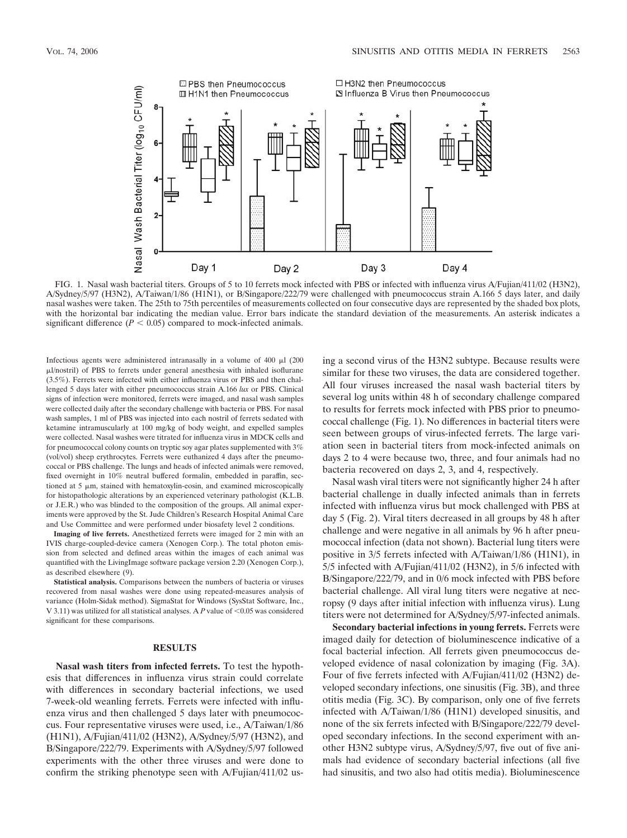

FIG. 1. Nasal wash bacterial titers. Groups of 5 to 10 ferrets mock infected with PBS or infected with influenza virus A/Fujian/411/02 (H3N2), A/Sydney/5/97 (H3N2), A/Taiwan/1/86 (H1N1), or B/Singapore/222/79 were challenged with pneumococcus strain A.166 5 days later, and daily nasal washes were taken. The 25th to 75th percentiles of measurements collected on four consecutive days are represented by the shaded box plots, with the horizontal bar indicating the median value. Error bars indicate the standard deviation of the measurements. An asterisk indicates a significant difference  $(P < 0.05)$  compared to mock-infected animals.

Infectious agents were administered intranasally in a volume of 400  $\mu$ l (200 l/nostril) of PBS to ferrets under general anesthesia with inhaled isoflurane (3.5%). Ferrets were infected with either influenza virus or PBS and then challenged 5 days later with either pneumococcus strain A.166 *lux* or PBS. Clinical signs of infection were monitored, ferrets were imaged, and nasal wash samples were collected daily after the secondary challenge with bacteria or PBS. For nasal wash samples, 1 ml of PBS was injected into each nostril of ferrets sedated with ketamine intramuscularly at 100 mg/kg of body weight, and expelled samples were collected. Nasal washes were titrated for influenza virus in MDCK cells and for pneumococcal colony counts on tryptic soy agar plates supplemented with 3% (vol/vol) sheep erythrocytes. Ferrets were euthanized 4 days after the pneumococcal or PBS challenge. The lungs and heads of infected animals were removed, fixed overnight in 10% neutral buffered formalin, embedded in paraffin, sectioned at  $5 \mu m$ , stained with hematoxylin-eosin, and examined microscopically for histopathologic alterations by an experienced veterinary pathologist (K.L.B. or J.E.R.) who was blinded to the composition of the groups. All animal experiments were approved by the St. Jude Children's Research Hospital Animal Care and Use Committee and were performed under biosafety level 2 conditions.

**Imaging of live ferrets.** Anesthetized ferrets were imaged for 2 min with an IVIS charge-coupled-device camera (Xenogen Corp.). The total photon emission from selected and defined areas within the images of each animal was quantified with the LivingImage software package version 2.20 (Xenogen Corp.), as described elsewhere (9).

**Statistical analysis.** Comparisons between the numbers of bacteria or viruses recovered from nasal washes were done using repeated-measures analysis of variance (Holm-Sidak method). SigmaStat for Windows (SysStat Software, Inc., V 3.11) was utilized for all statistical analyses. A  $P$  value of  $\leq 0.05$  was considered significant for these comparisons.

### **RESULTS**

**Nasal wash titers from infected ferrets.** To test the hypothesis that differences in influenza virus strain could correlate with differences in secondary bacterial infections, we used 7-week-old weanling ferrets. Ferrets were infected with influenza virus and then challenged 5 days later with pneumococcus. Four representative viruses were used, i.e., A/Taiwan/1/86 (H1N1), A/Fujian/411/02 (H3N2), A/Sydney/5/97 (H3N2), and B/Singapore/222/79. Experiments with A/Sydney/5/97 followed experiments with the other three viruses and were done to confirm the striking phenotype seen with A/Fujian/411/02 using a second virus of the H3N2 subtype. Because results were similar for these two viruses, the data are considered together. All four viruses increased the nasal wash bacterial titers by several log units within 48 h of secondary challenge compared to results for ferrets mock infected with PBS prior to pneumococcal challenge (Fig. 1). No differences in bacterial titers were seen between groups of virus-infected ferrets. The large variation seen in bacterial titers from mock-infected animals on days 2 to 4 were because two, three, and four animals had no bacteria recovered on days 2, 3, and 4, respectively.

Nasal wash viral titers were not significantly higher 24 h after bacterial challenge in dually infected animals than in ferrets infected with influenza virus but mock challenged with PBS at day 5 (Fig. 2). Viral titers decreased in all groups by 48 h after challenge and were negative in all animals by 96 h after pneumococcal infection (data not shown). Bacterial lung titers were positive in 3/5 ferrets infected with A/Taiwan/1/86 (H1N1), in 5/5 infected with A/Fujian/411/02 (H3N2), in 5/6 infected with B/Singapore/222/79, and in 0/6 mock infected with PBS before bacterial challenge. All viral lung titers were negative at necropsy (9 days after initial infection with influenza virus). Lung titers were not determined for A/Sydney/5/97-infected animals.

**Secondary bacterial infections in young ferrets.** Ferrets were imaged daily for detection of bioluminescence indicative of a focal bacterial infection. All ferrets given pneumococcus developed evidence of nasal colonization by imaging (Fig. 3A). Four of five ferrets infected with A/Fujian/411/02 (H3N2) developed secondary infections, one sinusitis (Fig. 3B), and three otitis media (Fig. 3C). By comparison, only one of five ferrets infected with A/Taiwan/1/86 (H1N1) developed sinusitis, and none of the six ferrets infected with B/Singapore/222/79 developed secondary infections. In the second experiment with another H3N2 subtype virus, A/Sydney/5/97, five out of five animals had evidence of secondary bacterial infections (all five had sinusitis, and two also had otitis media). Bioluminescence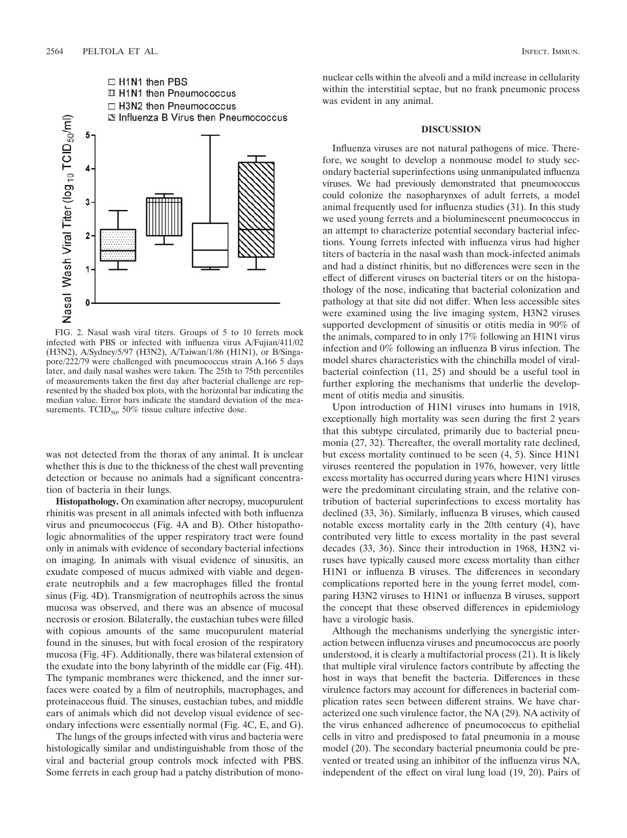

FIG. 2. Nasal wash viral titers. Groups of 5 to 10 ferrets mock infected with PBS or infected with influenza virus A/Fujian/411/02 (H3N2), A/Sydney/5/97 (H3N2), A/Taiwan/1/86 (H1N1), or B/Singapore/222/79 were challenged with pneumococcus strain A.166 5 days later, and daily nasal washes were taken. The 25th to 75th percentiles of measurements taken the first day after bacterial challenge are represented by the shaded box plots, with the horizontal bar indicating the median value. Error bars indicate the standard deviation of the measurements. TCID $_{50}$ , 50% tissue culture infective dose.

was not detected from the thorax of any animal. It is unclear whether this is due to the thickness of the chest wall preventing detection or because no animals had a significant concentration of bacteria in their lungs.

**Histopathology.** On examination after necropsy, mucopurulent rhinitis was present in all animals infected with both influenza virus and pneumococcus (Fig. 4A and B). Other histopathologic abnormalities of the upper respiratory tract were found only in animals with evidence of secondary bacterial infections on imaging. In animals with visual evidence of sinusitis, an exudate composed of mucus admixed with viable and degenerate neutrophils and a few macrophages filled the frontal sinus (Fig. 4D). Transmigration of neutrophils across the sinus mucosa was observed, and there was an absence of mucosal necrosis or erosion. Bilaterally, the eustachian tubes were filled with copious amounts of the same mucopurulent material found in the sinuses, but with focal erosion of the respiratory mucosa (Fig. 4F). Additionally, there was bilateral extension of the exudate into the bony labyrinth of the middle ear (Fig. 4H). The tympanic membranes were thickened, and the inner surfaces were coated by a film of neutrophils, macrophages, and proteinaceous fluid. The sinuses, eustachian tubes, and middle ears of animals which did not develop visual evidence of secondary infections were essentially normal (Fig. 4C, E, and G).

The lungs of the groups infected with virus and bacteria were histologically similar and undistinguishable from those of the viral and bacterial group controls mock infected with PBS. Some ferrets in each group had a patchy distribution of mononuclear cells within the alveoli and a mild increase in cellularity within the interstitial septae, but no frank pneumonic process was evident in any animal.

### **DISCUSSION**

Influenza viruses are not natural pathogens of mice. Therefore, we sought to develop a nonmouse model to study secondary bacterial superinfections using unmanipulated influenza viruses. We had previously demonstrated that pneumococcus could colonize the nasopharynxes of adult ferrets, a model animal frequently used for influenza studies (31). In this study we used young ferrets and a bioluminescent pneumococcus in an attempt to characterize potential secondary bacterial infections. Young ferrets infected with influenza virus had higher titers of bacteria in the nasal wash than mock-infected animals and had a distinct rhinitis, but no differences were seen in the effect of different viruses on bacterial titers or on the histopathology of the nose, indicating that bacterial colonization and pathology at that site did not differ. When less accessible sites were examined using the live imaging system, H3N2 viruses supported development of sinusitis or otitis media in 90% of the animals, compared to in only 17% following an H1N1 virus infection and 0% following an influenza B virus infection. The model shares characteristics with the chinchilla model of viralbacterial coinfection (11, 25) and should be a useful tool in further exploring the mechanisms that underlie the development of otitis media and sinusitis.

Upon introduction of H1N1 viruses into humans in 1918, exceptionally high mortality was seen during the first 2 years that this subtype circulated, primarily due to bacterial pneumonia (27, 32). Thereafter, the overall mortality rate declined, but excess mortality continued to be seen (4, 5). Since H1N1 viruses reentered the population in 1976, however, very little excess mortality has occurred during years where H1N1 viruses were the predominant circulating strain, and the relative contribution of bacterial superinfections to excess mortality has declined (33, 36). Similarly, influenza B viruses, which caused notable excess mortality early in the 20th century (4), have contributed very little to excess mortality in the past several decades (33, 36). Since their introduction in 1968, H3N2 viruses have typically caused more excess mortality than either H1N1 or influenza B viruses. The differences in secondary complications reported here in the young ferret model, comparing H3N2 viruses to H1N1 or influenza B viruses, support the concept that these observed differences in epidemiology have a virologic basis.

Although the mechanisms underlying the synergistic interaction between influenza viruses and pneumococcus are poorly understood, it is clearly a multifactorial process (21). It is likely that multiple viral virulence factors contribute by affecting the host in ways that benefit the bacteria. Differences in these virulence factors may account for differences in bacterial complication rates seen between different strains. We have characterized one such virulence factor, the NA (29). NA activity of the virus enhanced adherence of pneumococcus to epithelial cells in vitro and predisposed to fatal pneumonia in a mouse model (20). The secondary bacterial pneumonia could be prevented or treated using an inhibitor of the influenza virus NA, independent of the effect on viral lung load (19, 20). Pairs of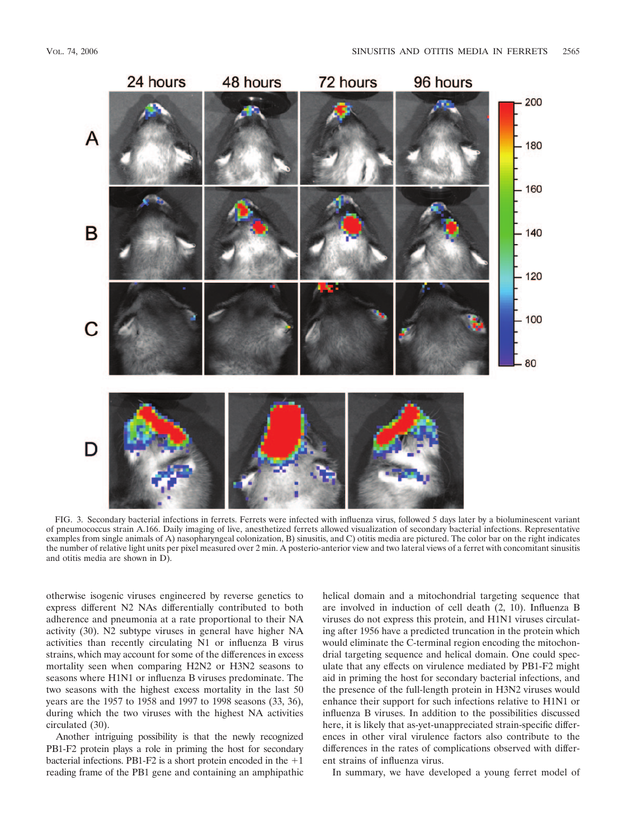

FIG. 3. Secondary bacterial infections in ferrets. Ferrets were infected with influenza virus, followed 5 days later by a bioluminescent variant of pneumococcus strain A.166. Daily imaging of live, anesthetized ferrets allowed visualization of secondary bacterial infections. Representative examples from single animals of A) nasopharyngeal colonization, B) sinusitis, and C) otitis media are pictured. The color bar on the right indicates the number of relative light units per pixel measured over 2 min. A posterio-anterior view and two lateral views of a ferret with concomitant sinusitis and otitis media are shown in D).

otherwise isogenic viruses engineered by reverse genetics to express different N2 NAs differentially contributed to both adherence and pneumonia at a rate proportional to their NA activity (30). N2 subtype viruses in general have higher NA activities than recently circulating N1 or influenza B virus strains, which may account for some of the differences in excess mortality seen when comparing H2N2 or H3N2 seasons to seasons where H1N1 or influenza B viruses predominate. The two seasons with the highest excess mortality in the last 50 years are the 1957 to 1958 and 1997 to 1998 seasons (33, 36), during which the two viruses with the highest NA activities circulated (30).

Another intriguing possibility is that the newly recognized PB1-F2 protein plays a role in priming the host for secondary bacterial infections. PB1-F2 is a short protein encoded in the  $+1$ reading frame of the PB1 gene and containing an amphipathic helical domain and a mitochondrial targeting sequence that are involved in induction of cell death (2, 10). Influenza B viruses do not express this protein, and H1N1 viruses circulating after 1956 have a predicted truncation in the protein which would eliminate the C-terminal region encoding the mitochondrial targeting sequence and helical domain. One could speculate that any effects on virulence mediated by PB1-F2 might aid in priming the host for secondary bacterial infections, and the presence of the full-length protein in H3N2 viruses would enhance their support for such infections relative to H1N1 or influenza B viruses. In addition to the possibilities discussed here, it is likely that as-yet-unappreciated strain-specific differences in other viral virulence factors also contribute to the differences in the rates of complications observed with different strains of influenza virus.

In summary, we have developed a young ferret model of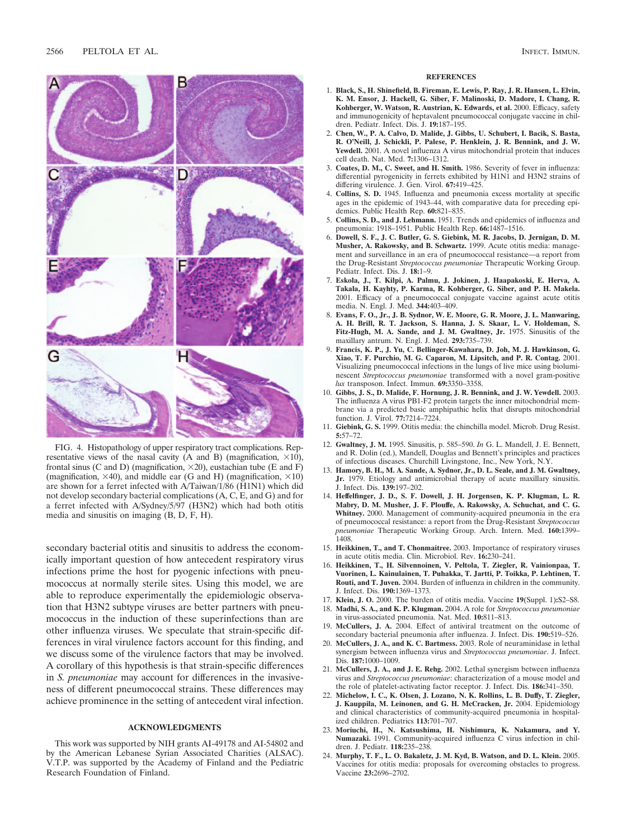

FIG. 4. Histopathology of upper respiratory tract complications. Representative views of the nasal cavity (A and B) (magnification,  $\times$ 10), frontal sinus (C and D) (magnification,  $\times$ 20), eustachian tube (E and F) (magnification,  $\times$ 40), and middle ear (G and H) (magnification,  $\times$ 10) are shown for a ferret infected with A/Taiwan/1/86 (H1N1) which did not develop secondary bacterial complications (A, C, E, and G) and for a ferret infected with A/Sydney/5/97 (H3N2) which had both otitis media and sinusitis on imaging (B, D, F, H).

secondary bacterial otitis and sinusitis to address the economically important question of how antecedent respiratory virus infections prime the host for pyogenic infections with pneumococcus at normally sterile sites. Using this model, we are able to reproduce experimentally the epidemiologic observation that H3N2 subtype viruses are better partners with pneumococcus in the induction of these superinfections than are other influenza viruses. We speculate that strain-specific differences in viral virulence factors account for this finding, and we discuss some of the virulence factors that may be involved. A corollary of this hypothesis is that strain-specific differences in *S. pneumoniae* may account for differences in the invasiveness of different pneumococcal strains. These differences may achieve prominence in the setting of antecedent viral infection.

## **ACKNOWLEDGMENTS**

This work was supported by NIH grants AI-49178 and AI-54802 and by the American Lebanese Syrian Associated Charities (ALSAC). V.T.P. was supported by the Academy of Finland and the Pediatric Research Foundation of Finland.

#### **REFERENCES**

- 1. **Black, S., H. Shinefield, B. Fireman, E. Lewis, P. Ray, J. R. Hansen, L. Elvin, K. M. Ensor, J. Hackell, G. Siber, F. Malinoski, D. Madore, I. Chang, R. Kohberger, W. Watson, R. Austrian, K. Edwards, et al.** 2000. Efficacy, safety and immunogenicity of heptavalent pneumococcal conjugate vaccine in children. Pediatr. Infect. Dis. J. **19:**187–195.
- 2. **Chen, W., P. A. Calvo, D. Malide, J. Gibbs, U. Schubert, I. Bacik, S. Basta, R. O'Neill, J. Schickli, P. Palese, P. Henklein, J. R. Bennink, and J. W. Yewdell.** 2001. A novel influenza A virus mitochondrial protein that induces cell death. Nat. Med. **7:**1306–1312.
- 3. **Coates, D. M., C. Sweet, and H. Smith.** 1986. Severity of fever in influenza: differential pyrogenicity in ferrets exhibited by H1N1 and H3N2 strains of differing virulence. J. Gen. Virol. **67:**419–425.
- 4. **Collins, S. D.** 1945. Influenza and pneumonia excess mortality at specific ages in the epidemic of 1943–44, with comparative data for preceding epidemics. Public Health Rep. **60:**821–835.
- 5. **Collins, S. D., and J. Lehmann.** 1951. Trends and epidemics of influenza and pneumonia: 1918–1951. Public Health Rep. **66:**1487–1516.
- 6. **Dowell, S. F., J. C. Butler, G. S. Giebink, M. R. Jacobs, D. Jernigan, D. M. Musher, A. Rakowsky, and B. Schwartz.** 1999. Acute otitis media: management and surveillance in an era of pneumococcal resistance—a report from the Drug-Resistant *Streptococcus pneumoniae* Therapeutic Working Group. Pediatr. Infect. Dis. J. **18:**1–9.
- 7. **Eskola, J., T. Kilpi, A. Palmu, J. Jokinen, J. Haapakoski, E. Herva, A. Takala, H. Kayhty, P. Karma, R. Kohberger, G. Siber, and P. H. Makela.** 2001. Efficacy of a pneumococcal conjugate vaccine against acute otitis media. N. Engl. J. Med. **344:**403–409.
- 8. **Evans, F. O., Jr., J. B. Sydnor, W. E. Moore, G. R. Moore, J. L. Manwaring, A. H. Brill, R. T. Jackson, S. Hanna, J. S. Skaar, L. V. Holdeman, S. Fitz-Hugh, M. A. Sande, and J. M. Gwaltney, Jr.** 1975. Sinusitis of the maxillary antrum. N. Engl. J. Med. **293:**735–739.
- 9. **Francis, K. P., J. Yu, C. Bellinger-Kawahara, D. Joh, M. J. Hawkinson, G. Xiao, T. F. Purchio, M. G. Caparon, M. Lipsitch, and P. R. Contag.** 2001. Visualizing pneumococcal infections in the lungs of live mice using bioluminescent *Streptococcus pneumoniae* transformed with a novel gram-positive *lux* transposon. Infect. Immun. **69:**3350–3358.
- 10. **Gibbs, J. S., D. Malide, F. Hornung, J. R. Bennink, and J. W. Yewdell.** 2003. The influenza A virus PB1-F2 protein targets the inner mitochondrial membrane via a predicted basic amphipathic helix that disrupts mitochondrial function. J. Virol. **77:**7214–7224.
- 11. **Giebink, G. S.** 1999. Otitis media: the chinchilla model. Microb. Drug Resist. **5:**57–72.
- 12. **Gwaltney, J. M.** 1995. Sinusitis, p. 585–590. *In* G. L. Mandell, J. E. Bennett, and R. Dolin (ed.), Mandell, Douglas and Bennett's principles and practices of infectious diseases. Churchill Livingstone, Inc., New York, N.Y.
- 13. **Hamory, B. H., M. A. Sande, A. Sydnor, Jr., D. L. Seale, and J. M. Gwaltney, Jr.** 1979. Etiology and antimicrobial therapy of acute maxillary sinusitis. J. Infect. Dis. **139:**197–202.
- 14. **Heffelfinger, J. D., S. F. Dowell, J. H. Jorgensen, K. P. Klugman, L. R. Mabry, D. M. Musher, J. F. Plouffe, A. Rakowsky, A. Schuchat, and C. G. Whitney.** 2000. Management of community-acquired pneumonia in the era of pneumococcal resistance: a report from the Drug-Resistant *Streptococcus pneumoniae* Therapeutic Working Group. Arch. Intern. Med. **160:**1399– 1408.
- 15. **Heikkinen, T., and T. Chonmaitree.** 2003. Importance of respiratory viruses in acute otitis media. Clin. Microbiol. Rev. **16:**230–241.
- 16. **Heikkinen, T., H. Silvennoinen, V. Peltola, T. Ziegler, R. Vainionpaa, T. Vuorinen, L. Kainulainen, T. Puhakka, T. Jartti, P. Toikka, P. Lehtinen, T. Routi, and T. Juven.** 2004. Burden of influenza in children in the community. J. Infect. Dis. **190:**1369–1373.
- 17. **Klein, J. O.** 2000. The burden of otitis media. Vaccine **19**(Suppl. 1)**:**S2–S8. 18. **Madhi, S. A., and K. P. Klugman.** 2004. A role for *Streptococcus pneumoniae*
- in virus-associated pneumonia. Nat. Med. **10:**811–813. 19. **McCullers, J. A.** 2004. Effect of antiviral treatment on the outcome of
- secondary bacterial pneumonia after influenza. J. Infect. Dis. **190:**519–526.
- 20. **McCullers, J. A., and K. C. Bartmess.** 2003. Role of neuraminidase in lethal synergism between influenza virus and *Streptococcus pneumoniae*. J. Infect. Dis. **187:**1000–1009.
- 21. **McCullers, J. A., and J. E. Rehg.** 2002. Lethal synergism between influenza virus and *Streptococcus pneumoniae*: characterization of a mouse model and the role of platelet-activating factor receptor. J. Infect. Dis. **186:**341–350.
- 22. **Michelow, I. C., K. Olsen, J. Lozano, N. K. Rollins, L. B. Duffy, T. Ziegler, J. Kauppila, M. Leinonen, and G. H. McCracken, Jr.** 2004. Epidemiology and clinical characteristics of community-acquired pneumonia in hospitalized children. Pediatrics **113:**701–707.
- 23. **Moriuchi, H., N. Katsushima, H. Nishimura, K. Nakamura, and Y. Numazaki.** 1991. Community-acquired influenza C virus infection in children. J. Pediatr. **118:**235–238.
- 24. **Murphy, T. F., L. O. Bakaletz, J. M. Kyd, B. Watson, and D. L. Klein.** 2005. Vaccines for otitis media: proposals for overcoming obstacles to progress. Vaccine **23:**2696–2702.